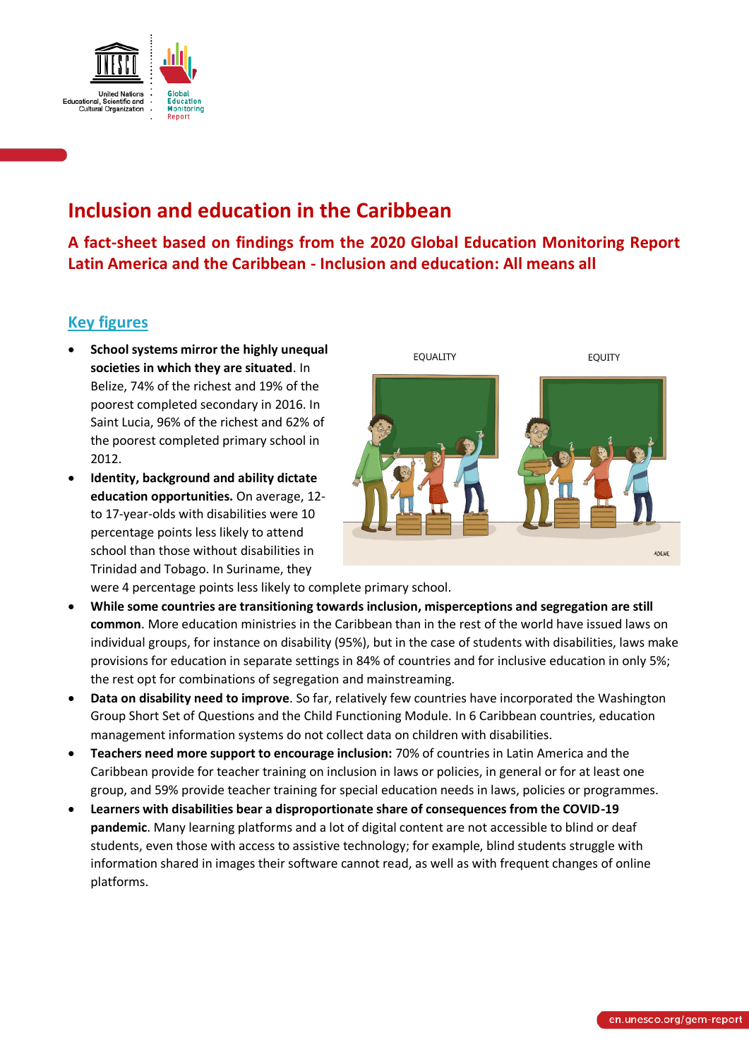

# **Inclusion and education in the Caribbean**

**A fact-sheet based on findings from the 2020 Global Education Monitoring Report Latin America and the Caribbean - Inclusion and education: All means all**

### **Key figures**

- **School systems mirror the highly unequal societies in which they are situated**. In Belize, 74% of the richest and 19% of the poorest completed secondary in 2016. In Saint Lucia, 96% of the richest and 62% of the poorest completed primary school in 2012.
- **Identity, background and ability dictate education opportunities.** On average, 12 to 17-year-olds with disabilities were 10 percentage points less likely to attend school than those without disabilities in Trinidad and Tobago. In Suriname, they



were 4 percentage points less likely to complete primary school.

- **While some countries are transitioning towards inclusion, misperceptions and segregation are still common**. More education ministries in the Caribbean than in the rest of the world have issued laws on individual groups, for instance on disability (95%), but in the case of students with disabilities, laws make provisions for education in separate settings in 84% of countries and for inclusive education in only 5%; the rest opt for combinations of segregation and mainstreaming.
- **Data on disability need to improve**. So far, relatively few countries have incorporated the Washington Group Short Set of Questions and the Child Functioning Module. In 6 Caribbean countries, education management information systems do not collect data on children with disabilities.
- **Teachers need more support to encourage inclusion:** 70% of countries in Latin America and the Caribbean provide for teacher training on inclusion in laws or policies, in general or for at least one group, and 59% provide teacher training for special education needs in laws, policies or programmes.
- **Learners with disabilities bear a disproportionate share of consequences from the COVID-19 pandemic**. Many learning platforms and a lot of digital content are not accessible to blind or deaf students, even those with access to assistive technology; for example, blind students struggle with information shared in images their software cannot read, as well as with frequent changes of online platforms.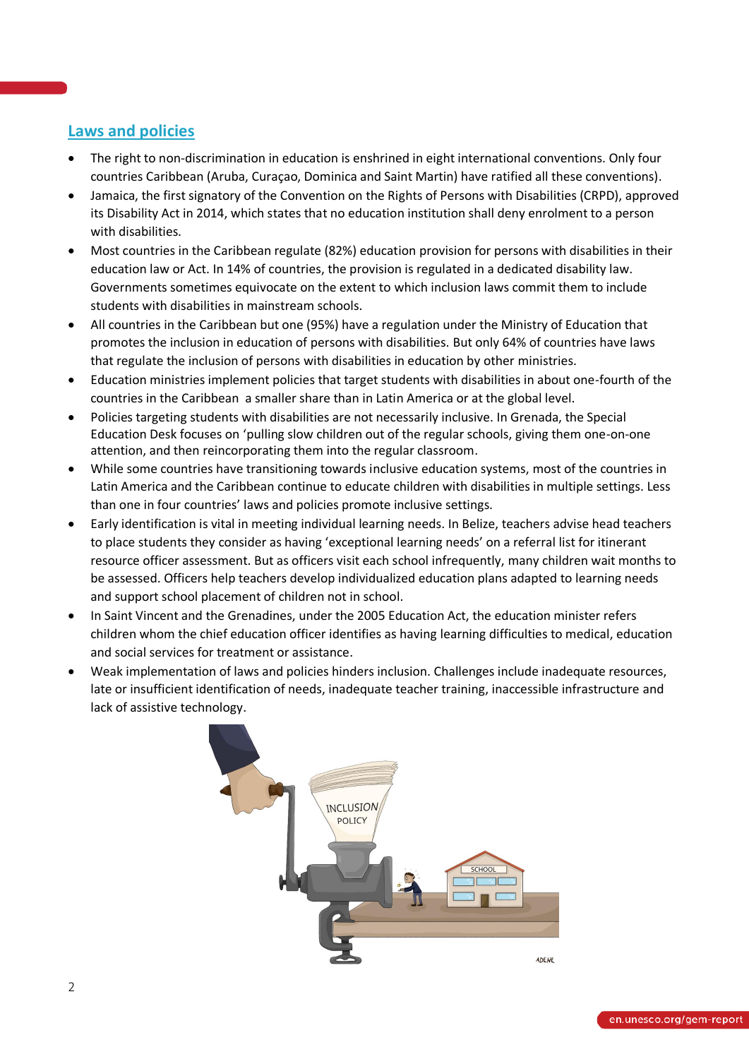### **Laws and policies**

- The right to non-discrimination in education is enshrined in eight international conventions. Only four countries Caribbean (Aruba, Curaçao, Dominica and Saint Martin) have ratified all these conventions).
- Jamaica, the first signatory of the Convention on the Rights of Persons with Disabilities (CRPD), approved its Disability Act in 2014, which states that no education institution shall deny enrolment to a person with disabilities.
- Most countries in the Caribbean regulate (82%) education provision for persons with disabilities in their education law or Act. In 14% of countries, the provision is regulated in a dedicated disability law. Governments sometimes equivocate on the extent to which inclusion laws commit them to include students with disabilities in mainstream schools.
- All countries in the Caribbean but one (95%) have a regulation under the Ministry of Education that promotes the inclusion in education of persons with disabilities. But only 64% of countries have laws that regulate the inclusion of persons with disabilities in education by other ministries.
- Education ministries implement policies that target students with disabilities in about one-fourth of the countries in the Caribbean a smaller share than in Latin America or at the global level.
- Policies targeting students with disabilities are not necessarily inclusive. In Grenada, the Special Education Desk focuses on 'pulling slow children out of the regular schools, giving them one-on-one attention, and then reincorporating them into the regular classroom.
- While some countries have transitioning towards inclusive education systems, most of the countries in Latin America and the Caribbean continue to educate children with disabilities in multiple settings. Less than one in four countries' laws and policies promote inclusive settings.
- Early identification is vital in meeting individual learning needs. In Belize, teachers advise head teachers to place students they consider as having 'exceptional learning needs' on a referral list for itinerant resource officer assessment. But as officers visit each school infrequently, many children wait months to be assessed. Officers help teachers develop individualized education plans adapted to learning needs and support school placement of children not in school.
- In Saint Vincent and the Grenadines, under the 2005 Education Act, the education minister refers children whom the chief education officer identifies as having learning difficulties to medical, education and social services for treatment or assistance.
- Weak implementation of laws and policies hinders inclusion. Challenges include inadequate resources, late or insufficient identification of needs, inadequate teacher training, inaccessible infrastructure and lack of assistive technology.

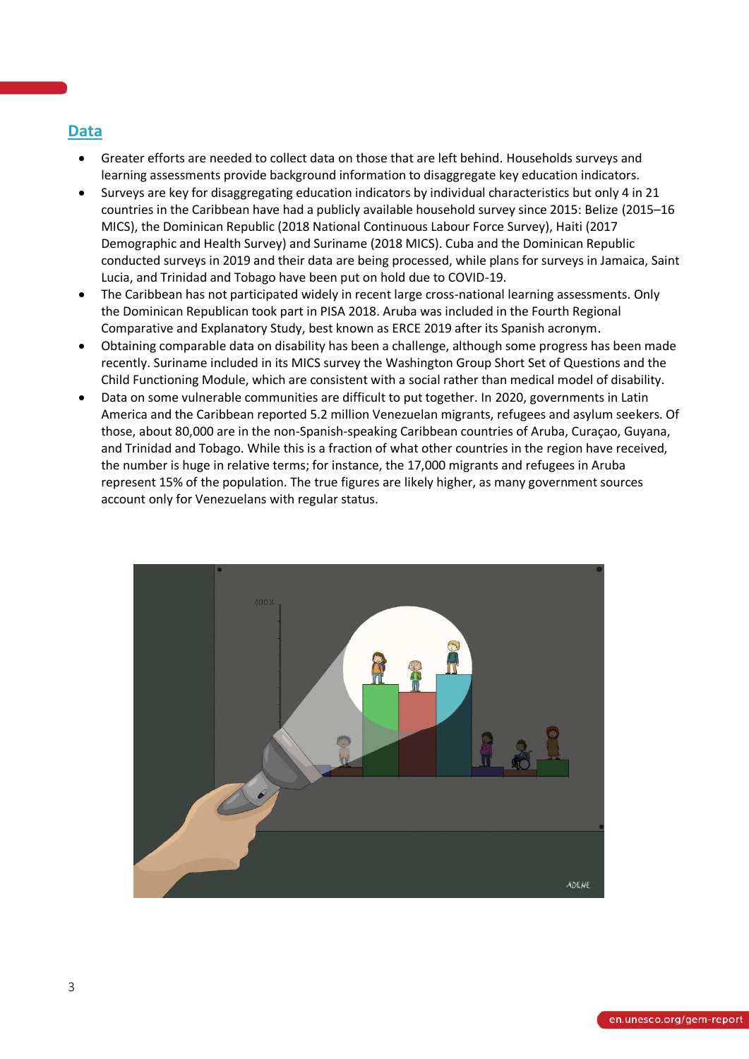### **Data**

- Greater efforts are needed to collect data on those that are left behind. Households surveys and learning assessments provide background information to disaggregate key education indicators.
- Surveys are key for disaggregating education indicators by individual characteristics but only 4 in 21 countries in the Caribbean have had a publicly available household survey since 2015: Belize (2015–16 MICS), the Dominican Republic (2018 National Continuous Labour Force Survey), Haiti (2017 Demographic and Health Survey) and Suriname (2018 MICS). Cuba and the Dominican Republic conducted surveys in 2019 and their data are being processed, while plans for surveys in Jamaica, Saint Lucia, and Trinidad and Tobago have been put on hold due to COVID-19.
- The Caribbean has not participated widely in recent large cross-national learning assessments. Only the Dominican Republican took part in PISA 2018. Aruba was included in the Fourth Regional Comparative and Explanatory Study, best known as ERCE 2019 after its Spanish acronym.
- Obtaining comparable data on disability has been a challenge, although some progress has been made recently. Suriname included in its MICS survey the Washington Group Short Set of Questions and the Child Functioning Module, which are consistent with a social rather than medical model of disability.
- Data on some vulnerable communities are difficult to put together. In 2020, governments in Latin America and the Caribbean reported 5.2 million Venezuelan migrants, refugees and asylum seekers. Of those, about 80,000 are in the non-Spanish-speaking Caribbean countries of Aruba, Curaçao, Guyana, and Trinidad and Tobago. While this is a fraction of what other countries in the region have received, the number is huge in relative terms; for instance, the 17,000 migrants and refugees in Aruba represent 15% of the population. The true figures are likely higher, as many government sources account only for Venezuelans with regular status.

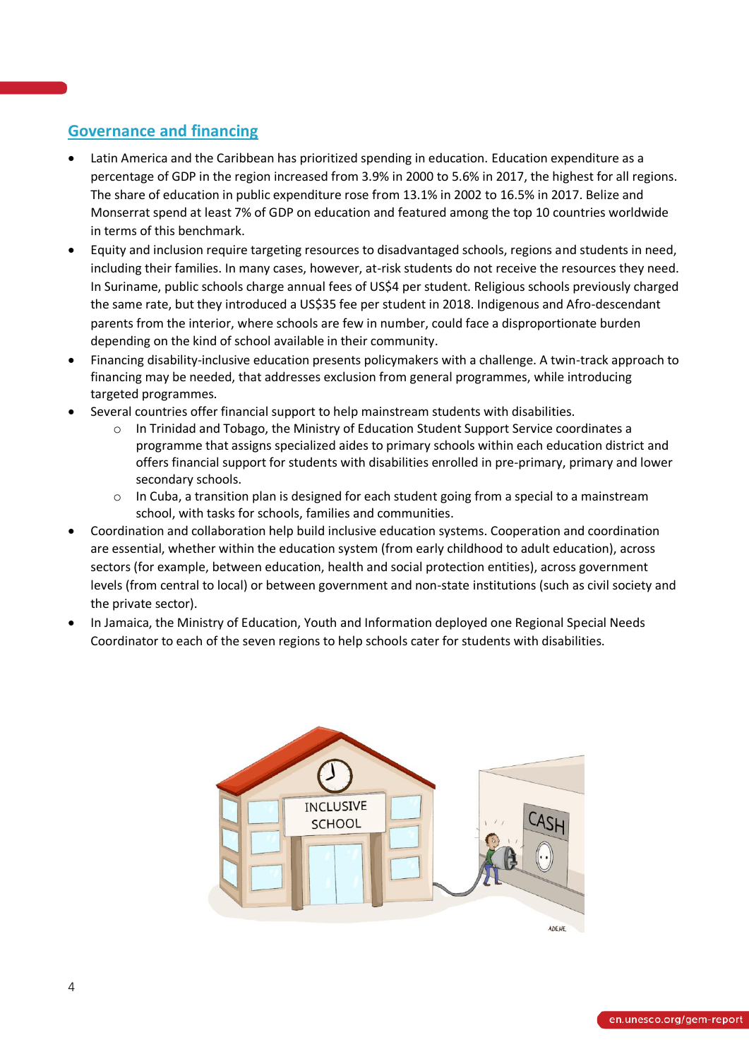# **Governance and financing**

- Latin America and the Caribbean has prioritized spending in education. Education expenditure as a percentage of GDP in the region increased from 3.9% in 2000 to 5.6% in 2017, the highest for all regions. The share of education in public expenditure rose from 13.1% in 2002 to 16.5% in 2017. Belize and Monserrat spend at least 7% of GDP on education and featured among the top 10 countries worldwide in terms of this benchmark.
- Equity and inclusion require targeting resources to disadvantaged schools, regions and students in need, including their families. In many cases, however, at-risk students do not receive the resources they need. In Suriname, public schools charge annual fees of US\$4 per student. Religious schools previously charged the same rate, but they introduced a US\$35 fee per student in 2018. Indigenous and Afro-descendant parents from the interior, where schools are few in number, could face a disproportionate burden depending on the kind of school available in their community.
- Financing disability-inclusive education presents policymakers with a challenge. A twin-track approach to financing may be needed, that addresses exclusion from general programmes, while introducing targeted programmes.
- Several countries offer financial support to help mainstream students with disabilities.
	- o In Trinidad and Tobago, the Ministry of Education Student Support Service coordinates a programme that assigns specialized aides to primary schools within each education district and offers financial support for students with disabilities enrolled in pre-primary, primary and lower secondary schools.
	- $\circ$  In Cuba, a transition plan is designed for each student going from a special to a mainstream school, with tasks for schools, families and communities.
- Coordination and collaboration help build inclusive education systems. Cooperation and coordination are essential, whether within the education system (from early childhood to adult education), across sectors (for example, between education, health and social protection entities), across government levels (from central to local) or between government and non-state institutions (such as civil society and the private sector).
- In Jamaica, the Ministry of Education, Youth and Information deployed one Regional Special Needs Coordinator to each of the seven regions to help schools cater for students with disabilities.

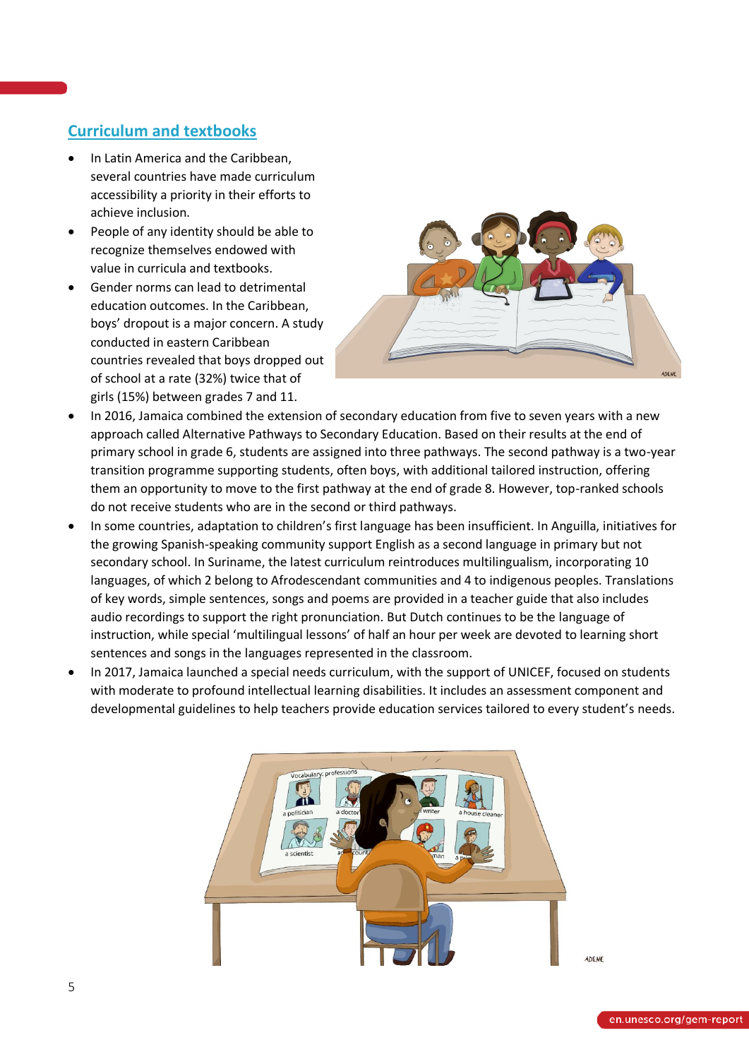# **Curriculum and textbooks**

- In Latin America and the Caribbean, several countries have made curriculum accessibility a priority in their efforts to achieve inclusion.
- People of any identity should be able to recognize themselves endowed with value in curricula and textbooks.
- Gender norms can lead to detrimental education outcomes. In the Caribbean, boys' dropout is a major concern. A study conducted in eastern Caribbean countries revealed that boys dropped out of school at a rate (32%) twice that of girls (15%) between grades 7 and 11.



- In 2016, Jamaica combined the extension of secondary education from five to seven years with a new approach called Alternative Pathways to Secondary Education. Based on their results at the end of primary school in grade 6, students are assigned into three pathways. The second pathway is a two-year transition programme supporting students, often boys, with additional tailored instruction, offering them an opportunity to move to the first pathway at the end of grade 8. However, top-ranked schools do not receive students who are in the second or third pathways.
- In some countries, adaptation to children's first language has been insufficient. In Anguilla, initiatives for the growing Spanish-speaking community support English as a second language in primary but not secondary school. In Suriname, the latest curriculum reintroduces multilingualism, incorporating 10 languages, of which 2 belong to Afrodescendant communities and 4 to indigenous peoples. Translations of key words, simple sentences, songs and poems are provided in a teacher guide that also includes audio recordings to support the right pronunciation. But Dutch continues to be the language of instruction, while special 'multilingual lessons' of half an hour per week are devoted to learning short sentences and songs in the languages represented in the classroom.
- In 2017, Jamaica launched a special needs curriculum, with the support of UNICEF, focused on students with moderate to profound intellectual learning disabilities. It includes an assessment component and developmental guidelines to help teachers provide education services tailored to every student's needs.

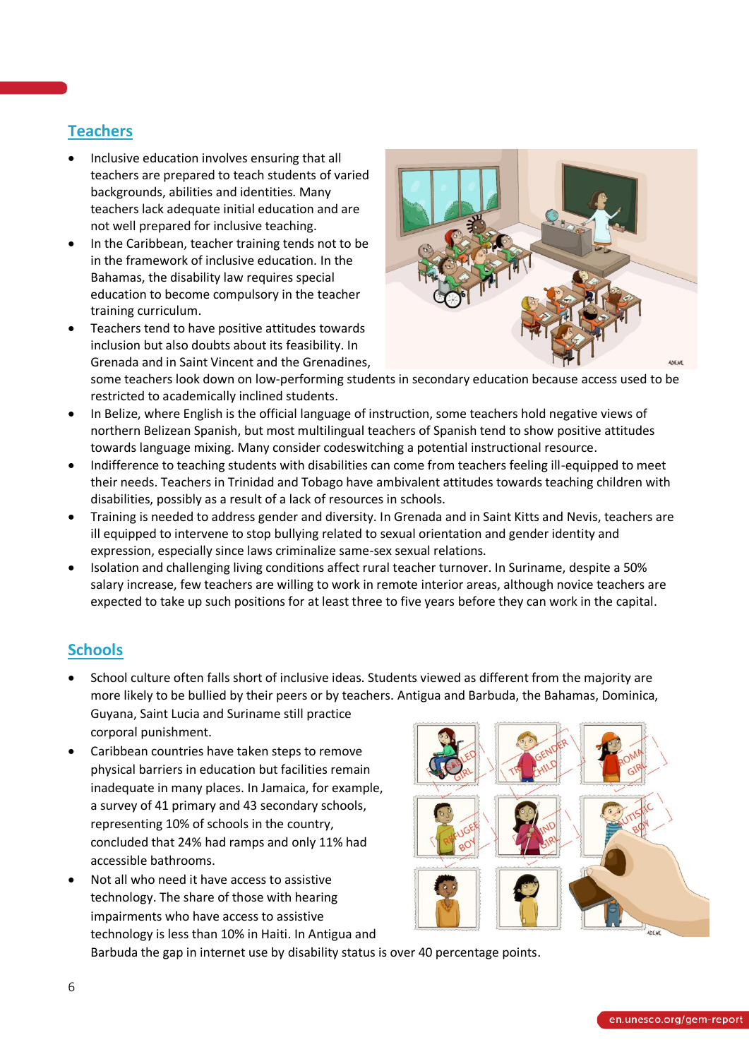# **Teachers**

- Inclusive education involves ensuring that all teachers are prepared to teach students of varied backgrounds, abilities and identities. Many teachers lack adequate initial education and are not well prepared for inclusive teaching.
- In the Caribbean, teacher training tends not to be in the framework of inclusive education. In the Bahamas, the disability law requires special education to become compulsory in the teacher training curriculum.
- Teachers tend to have positive attitudes towards inclusion but also doubts about its feasibility. In Grenada and in Saint Vincent and the Grenadines,



some teachers look down on low-performing students in secondary education because access used to be restricted to academically inclined students.

- In Belize, where English is the official language of instruction, some teachers hold negative views of northern Belizean Spanish, but most multilingual teachers of Spanish tend to show positive attitudes towards language mixing. Many consider codeswitching a potential instructional resource.
- Indifference to teaching students with disabilities can come from teachers feeling ill-equipped to meet their needs. Teachers in Trinidad and Tobago have ambivalent attitudes towards teaching children with disabilities, possibly as a result of a lack of resources in schools.
- Training is needed to address gender and diversity. In Grenada and in Saint Kitts and Nevis, teachers are ill equipped to intervene to stop bullying related to sexual orientation and gender identity and expression, especially since laws criminalize same-sex sexual relations.
- Isolation and challenging living conditions affect rural teacher turnover. In Suriname, despite a 50% salary increase, few teachers are willing to work in remote interior areas, although novice teachers are expected to take up such positions for at least three to five years before they can work in the capital.

# **Schools**

- School culture often falls short of inclusive ideas. Students viewed as different from the majority are more likely to be bullied by their peers or by teachers. Antigua and Barbuda, the Bahamas, Dominica, Guyana, Saint Lucia and Suriname still practice corporal punishment.
- Caribbean countries have taken steps to remove physical barriers in education but facilities remain inadequate in many places. In Jamaica, for example, a survey of 41 primary and 43 secondary schools, representing 10% of schools in the country, concluded that 24% had ramps and only 11% had accessible bathrooms.
- Not all who need it have access to assistive technology. The share of those with hearing impairments who have access to assistive technology is less than 10% in Haiti. In Antigua and



Barbuda the gap in internet use by disability status is over 40 percentage points.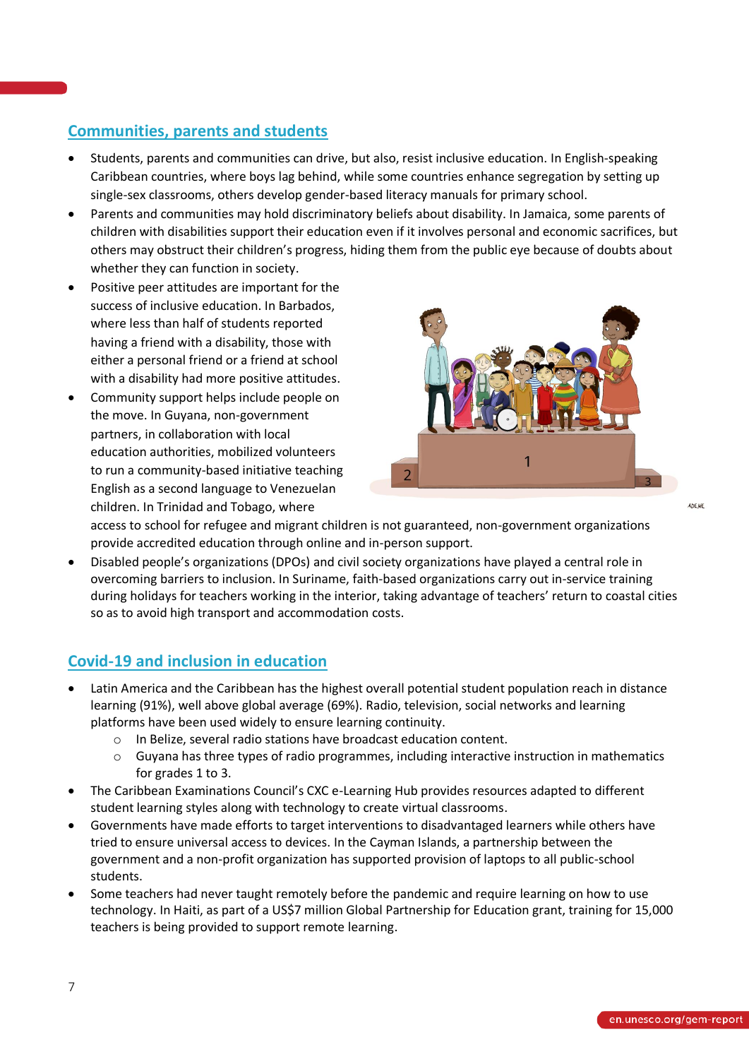### **Communities, parents and students**

- Students, parents and communities can drive, but also, resist inclusive education. In English-speaking Caribbean countries, where boys lag behind, while some countries enhance segregation by setting up single-sex classrooms, others develop gender-based literacy manuals for primary school.
- Parents and communities may hold discriminatory beliefs about disability. In Jamaica, some parents of children with disabilities support their education even if it involves personal and economic sacrifices, but others may obstruct their children's progress, hiding them from the public eye because of doubts about whether they can function in society.
- Positive peer attitudes are important for the success of inclusive education. In Barbados, where less than half of students reported having a friend with a disability, those with either a personal friend or a friend at school with a disability had more positive attitudes.
- Community support helps include people on the move. In Guyana, non-government partners, in collaboration with local education authorities, mobilized volunteers to run a community-based initiative teaching English as a second language to Venezuelan children. In Trinidad and Tobago, where



access to school for refugee and migrant children is not guaranteed, non-government organizations provide accredited education through online and in-person support.

• Disabled people's organizations (DPOs) and civil society organizations have played a central role in overcoming barriers to inclusion. In Suriname, faith-based organizations carry out in-service training during holidays for teachers working in the interior, taking advantage of teachers' return to coastal cities so as to avoid high transport and accommodation costs.

### **Covid-19 and inclusion in education**

- Latin America and the Caribbean has the highest overall potential student population reach in distance learning (91%), well above global average (69%). Radio, television, social networks and learning platforms have been used widely to ensure learning continuity.
	- o In Belize, several radio stations have broadcast education content.
	- o Guyana has three types of radio programmes, including interactive instruction in mathematics for grades 1 to 3.
- The Caribbean Examinations Council's CXC e-Learning Hub provides resources adapted to different student learning styles along with technology to create virtual classrooms.
- Governments have made efforts to target interventions to disadvantaged learners while others have tried to ensure universal access to devices. In the Cayman Islands, a partnership between the government and a non-profit organization has supported provision of laptops to all public-school students.
- Some teachers had never taught remotely before the pandemic and require learning on how to use technology. In Haiti, as part of a US\$7 million Global Partnership for Education grant, training for 15,000 teachers is being provided to support remote learning.

ADENE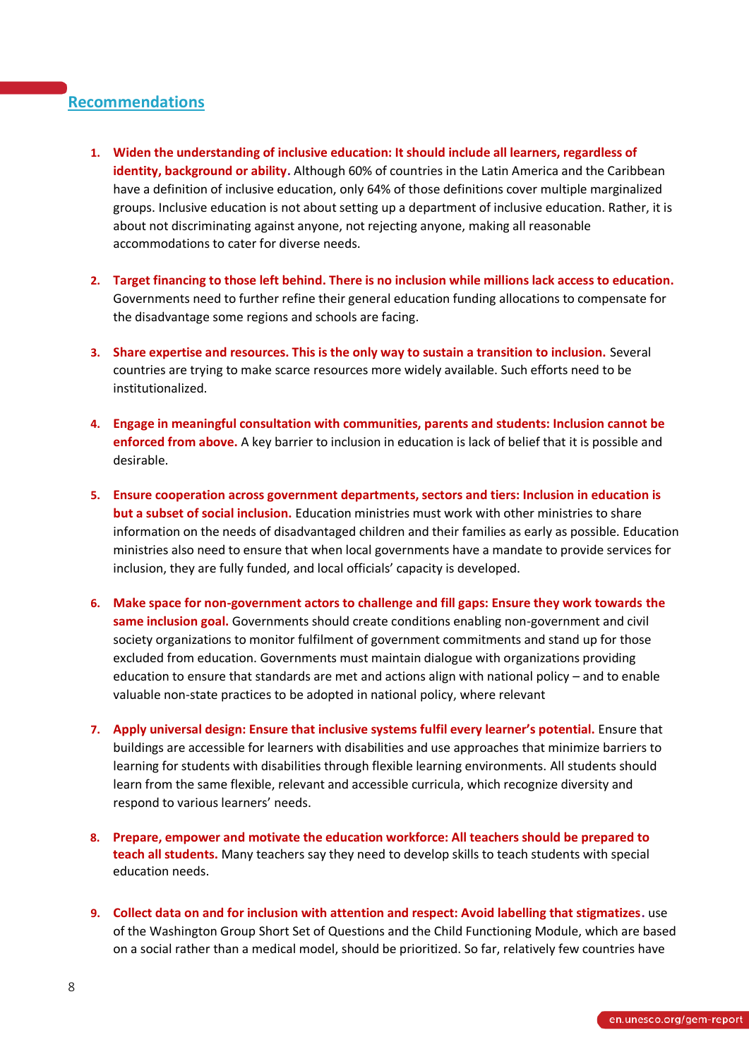### **Recommendations**

- **1. Widen the understanding of inclusive education: It should include all learners, regardless of identity, background or ability.** Although 60% of countries in the Latin America and the Caribbean have a definition of inclusive education, only 64% of those definitions cover multiple marginalized groups. Inclusive education is not about setting up a department of inclusive education. Rather, it is about not discriminating against anyone, not rejecting anyone, making all reasonable accommodations to cater for diverse needs.
- **2. Target financing to those left behind. There is no inclusion while millions lack access to education.**  Governments need to further refine their general education funding allocations to compensate for the disadvantage some regions and schools are facing.
- **3. Share expertise and resources. This is the only way to sustain a transition to inclusion.** Several countries are trying to make scarce resources more widely available. Such efforts need to be institutionalized.
- **4. Engage in meaningful consultation with communities, parents and students: Inclusion cannot be enforced from above.** A key barrier to inclusion in education is lack of belief that it is possible and desirable.
- **5. Ensure cooperation across government departments, sectors and tiers: Inclusion in education is but a subset of social inclusion.** Education ministries must work with other ministries to share information on the needs of disadvantaged children and their families as early as possible. Education ministries also need to ensure that when local governments have a mandate to provide services for inclusion, they are fully funded, and local officials' capacity is developed.
- **6. Make space for non-government actors to challenge and fill gaps: Ensure they work towards the same inclusion goal.** Governments should create conditions enabling non-government and civil society organizations to monitor fulfilment of government commitments and stand up for those excluded from education. Governments must maintain dialogue with organizations providing education to ensure that standards are met and actions align with national policy – and to enable valuable non-state practices to be adopted in national policy, where relevant
- **7. Apply universal design: Ensure that inclusive systems fulfil every learner's potential.** Ensure that buildings are accessible for learners with disabilities and use approaches that minimize barriers to learning for students with disabilities through flexible learning environments. All students should learn from the same flexible, relevant and accessible curricula, which recognize diversity and respond to various learners' needs.
- **8. Prepare, empower and motivate the education workforce: All teachers should be prepared to teach all students.** Many teachers say they need to develop skills to teach students with special education needs.
- **9. Collect data on and for inclusion with attention and respect: Avoid labelling that stigmatizes.** use of the Washington Group Short Set of Questions and the Child Functioning Module, which are based on a social rather than a medical model, should be prioritized. So far, relatively few countries have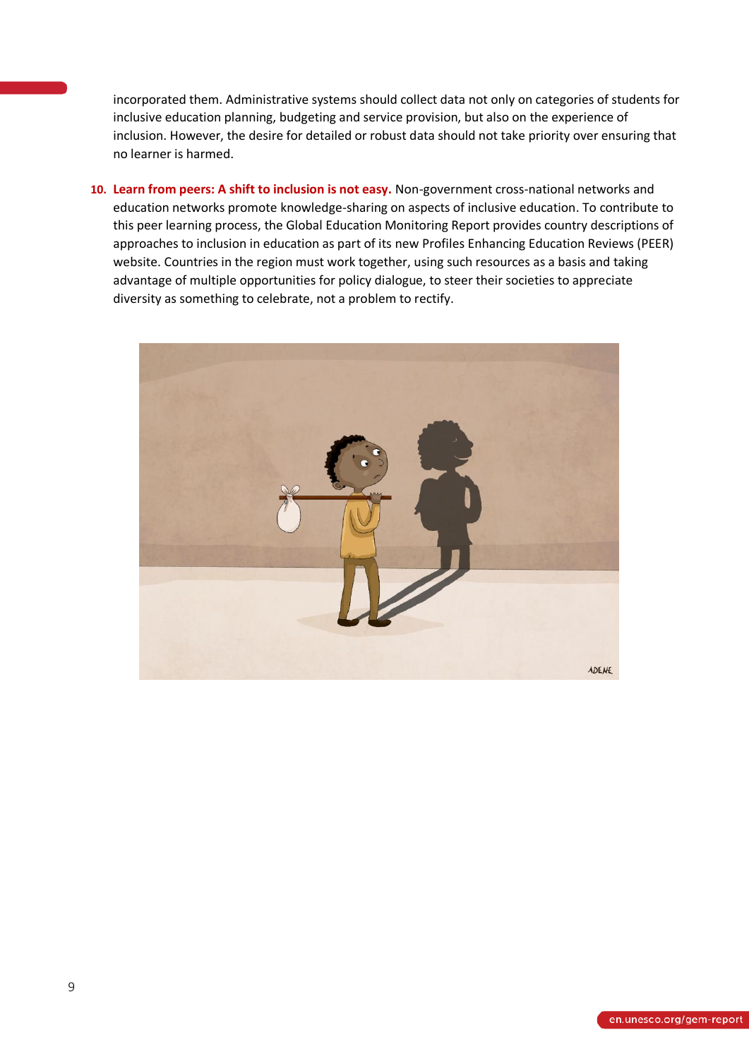incorporated them. Administrative systems should collect data not only on categories of students for inclusive education planning, budgeting and service provision, but also on the experience of inclusion. However, the desire for detailed or robust data should not take priority over ensuring that no learner is harmed.

**10. Learn from peers: A shift to inclusion is not easy.** Non-government cross-national networks and education networks promote knowledge-sharing on aspects of inclusive education. To contribute to this peer learning process, the Global Education Monitoring Report provides country descriptions of approaches to inclusion in education as part of its new Profiles Enhancing Education Reviews (PEER) website. Countries in the region must work together, using such resources as a basis and taking advantage of multiple opportunities for policy dialogue, to steer their societies to appreciate diversity as something to celebrate, not a problem to rectify.